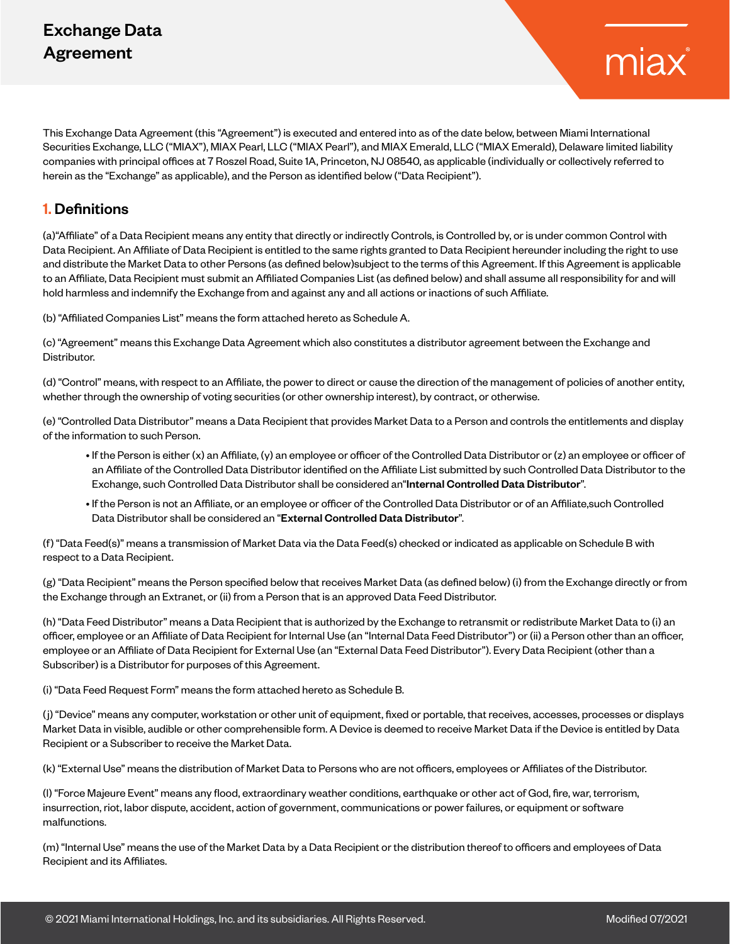# Exchange Data Agreement

This Exchange Data Agreement (this "Agreement") is executed and entered into as of the date below, between Miami International Securities Exchange, LLC ("MIAX"), MIAX Pearl, LLC ("MIAX Pearl"), and MIAX Emerald, LLC ("MIAX Emerald), Delaware limited liability companies with principal offices at 7 Roszel Road, Suite 1A, Princeton, NJ 08540, as applicable (individually or collectively referred to herein as the "Exchange" as applicable), and the Person as identified below ("Data Recipient").

## 1. Definitions

(a)"Affiliate" of a Data Recipient means any entity that directly or indirectly Controls, is Controlled by, or is under common Control with Data Recipient. An Affiliate of Data Recipient is entitled to the same rights granted to Data Recipient hereunder including the right to use and distribute the Market Data to other Persons (as defined below)subject to the terms of this Agreement. If this Agreement is applicable to an Affiliate, Data Recipient must submit an Affiliated Companies List (as defined below) and shall assume all responsibility for and will hold harmless and indemnify the Exchange from and against any and all actions or inactions of such Affiliate.

(b) "Affiliated Companies List" means the form attached hereto as Schedule A.

(c) "Agreement" means this Exchange Data Agreement which also constitutes a distributor agreement between the Exchange and Distributor.

(d) "Control" means, with respect to an Affiliate, the power to direct or cause the direction of the management of policies of another entity, whether through the ownership of voting securities (or other ownership interest), by contract, or otherwise.

(e) "Controlled Data Distributor" means a Data Recipient that provides Market Data to a Person and controls the entitlements and display of the information to such Person.

- If the Person is either (x) an Affiliate, (y) an employee or officer of the Controlled Data Distributor or (z) an employee or officer of an Affiliate of the Controlled Data Distributor identified on the Affiliate List submitted by such Controlled Data Distributor to the Exchange, such Controlled Data Distributor shall be considered an"Internal Controlled Data Distributor".
- If the Person is not an Affiliate, or an employee or officer of the Controlled Data Distributor or of an Affiliate,such Controlled Data Distributor shall be considered an "External Controlled Data Distributor".

(f) "Data Feed(s)" means a transmission of Market Data via the Data Feed(s) checked or indicated as applicable on Schedule B with respect to a Data Recipient.

(g) "Data Recipient" means the Person specified below that receives Market Data (as defined below) (i) from the Exchange directly or from the Exchange through an Extranet, or (ii) from a Person that is an approved Data Feed Distributor.

(h) "Data Feed Distributor" means a Data Recipient that is authorized by the Exchange to retransmit or redistribute Market Data to (i) an officer, employee or an Affiliate of Data Recipient for Internal Use (an "Internal Data Feed Distributor") or (ii) a Person other than an officer, employee or an Affiliate of Data Recipient for External Use (an "External Data Feed Distributor"). Every Data Recipient (other than a Subscriber) is a Distributor for purposes of this Agreement.

(i) "Data Feed Request Form" means the form attached hereto as Schedule B.

(j) "Device" means any computer, workstation or other unit of equipment, fixed or portable, that receives, accesses, processes or displays Market Data in visible, audible or other comprehensible form. A Device is deemed to receive Market Data if the Device is entitled by Data Recipient or a Subscriber to receive the Market Data.

(k) "External Use" means the distribution of Market Data to Persons who are not officers, employees or Affiliates of the Distributor.

(l) "Force Majeure Event" means any flood, extraordinary weather conditions, earthquake or other act of God, fire, war, terrorism, insurrection, riot, labor dispute, accident, action of government, communications or power failures, or equipment or software malfunctions.

(m) "Internal Use" means the use of the Market Data by a Data Recipient or the distribution thereof to officers and employees of Data Recipient and its Affiliates.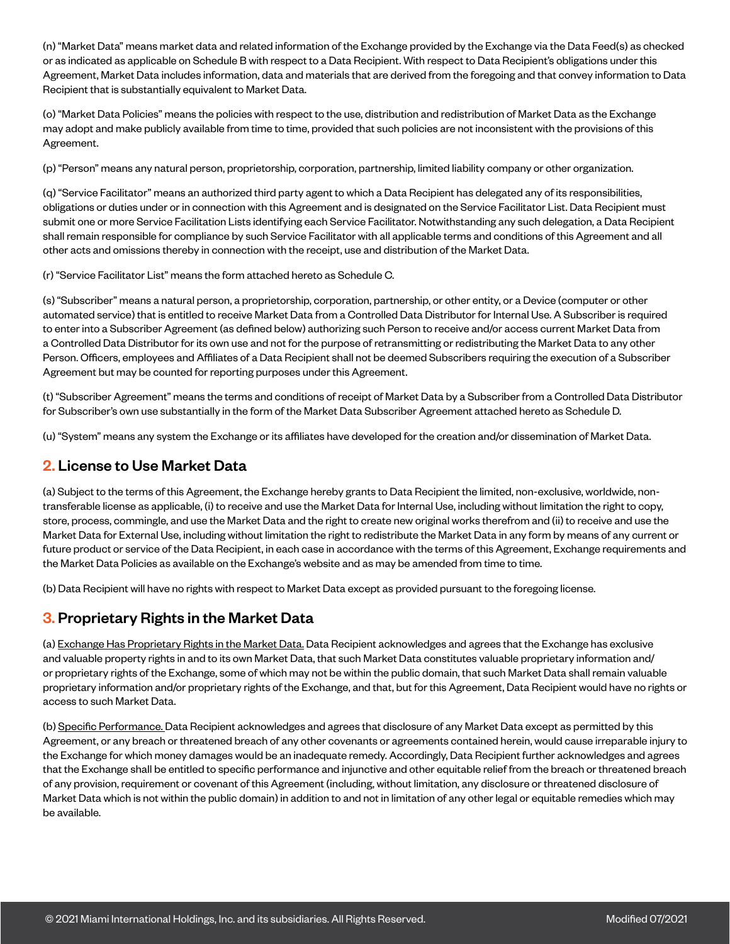(n) "Market Data" means market data and related information of the Exchange provided by the Exchange via the Data Feed(s) as checked or as indicated as applicable on Schedule B with respect to a Data Recipient. With respect to Data Recipient's obligations under this Agreement, Market Data includes information, data and materials that are derived from the foregoing and that convey information to Data Recipient that is substantially equivalent to Market Data.

(o) "Market Data Policies" means the policies with respect to the use, distribution and redistribution of Market Data as the Exchange may adopt and make publicly available from time to time, provided that such policies are not inconsistent with the provisions of this Agreement.

(p) "Person" means any natural person, proprietorship, corporation, partnership, limited liability company or other organization.

(q) "Service Facilitator" means an authorized third party agent to which a Data Recipient has delegated any of its responsibilities, obligations or duties under or in connection with this Agreement and is designated on the Service Facilitator List. Data Recipient must submit one or more Service Facilitation Lists identifying each Service Facilitator. Notwithstanding any such delegation, a Data Recipient shall remain responsible for compliance by such Service Facilitator with all applicable terms and conditions of this Agreement and all other acts and omissions thereby in connection with the receipt, use and distribution of the Market Data.

(r) "Service Facilitator List" means the form attached hereto as Schedule C.

(s) "Subscriber" means a natural person, a proprietorship, corporation, partnership, or other entity, or a Device (computer or other automated service) that is entitled to receive Market Data from a Controlled Data Distributor for Internal Use. A Subscriber is required to enter into a Subscriber Agreement (as defined below) authorizing such Person to receive and/or access current Market Data from a Controlled Data Distributor for its own use and not for the purpose of retransmitting or redistributing the Market Data to any other Person. Officers, employees and Affiliates of a Data Recipient shall not be deemed Subscribers requiring the execution of a Subscriber Agreement but may be counted for reporting purposes under this Agreement.

(t) "Subscriber Agreement" means the terms and conditions of receipt of Market Data by a Subscriber from a Controlled Data Distributor for Subscriber's own use substantially in the form of the Market Data Subscriber Agreement attached hereto as Schedule D.

(u) "System" means any system the Exchange or its affiliates have developed for the creation and/or dissemination of Market Data.

## 2. License to Use Market Data

(a) Subject to the terms of this Agreement, the Exchange hereby grants to Data Recipient the limited, non-exclusive, worldwide, nontransferable license as applicable, (i) to receive and use the Market Data for Internal Use, including without limitation the right to copy, store, process, commingle, and use the Market Data and the right to create new original works therefrom and (ii) to receive and use the Market Data for External Use, including without limitation the right to redistribute the Market Data in any form by means of any current or future product or service of the Data Recipient, in each case in accordance with the terms of this Agreement, Exchange requirements and the Market Data Policies as available on the Exchange's website and as may be amended from time to time.

(b) Data Recipient will have no rights with respect to Market Data except as provided pursuant to the foregoing license.

#### 3. Proprietary Rights in the Market Data

(a) Exchange Has Proprietary Rights in the Market Data. Data Recipient acknowledges and agrees that the Exchange has exclusive and valuable property rights in and to its own Market Data, that such Market Data constitutes valuable proprietary information and/ or proprietary rights of the Exchange, some of which may not be within the public domain, that such Market Data shall remain valuable proprietary information and/or proprietary rights of the Exchange, and that, but for this Agreement, Data Recipient would have no rights or access to such Market Data.

(b) Specific Performance. Data Recipient acknowledges and agrees that disclosure of any Market Data except as permitted by this Agreement, or any breach or threatened breach of any other covenants or agreements contained herein, would cause irreparable injury to the Exchange for which money damages would be an inadequate remedy. Accordingly, Data Recipient further acknowledges and agrees that the Exchange shall be entitled to specific performance and injunctive and other equitable relief from the breach or threatened breach of any provision, requirement or covenant of this Agreement (including, without limitation, any disclosure or threatened disclosure of Market Data which is not within the public domain) in addition to and not in limitation of any other legal or equitable remedies which may be available.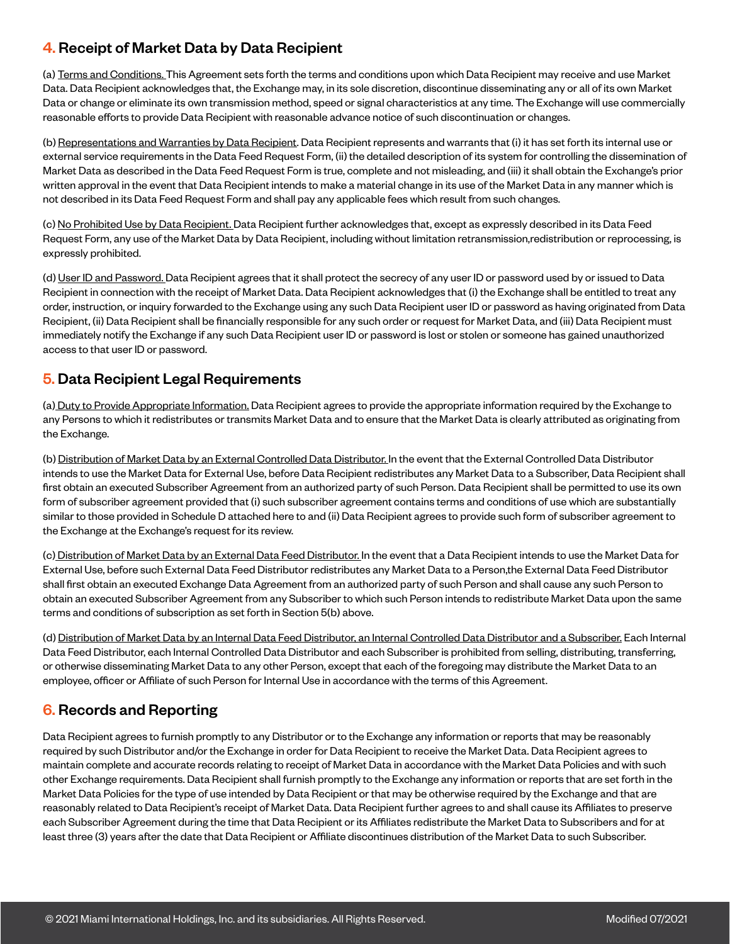# 4. Receipt of Market Data by Data Recipient

(a) Terms and Conditions. This Agreement sets forth the terms and conditions upon which Data Recipient may receive and use Market Data. Data Recipient acknowledges that, the Exchange may, in its sole discretion, discontinue disseminating any or all of its own Market Data or change or eliminate its own transmission method, speed or signal characteristics at any time. The Exchange will use commercially reasonable efforts to provide Data Recipient with reasonable advance notice of such discontinuation or changes.

(b) Representations and Warranties by Data Recipient. Data Recipient represents and warrants that (i) it has set forth its internal use or external service requirements in the Data Feed Request Form, (ii) the detailed description of its system for controlling the dissemination of Market Data as described in the Data Feed Request Form is true, complete and not misleading, and (iii) it shall obtain the Exchange's prior written approval in the event that Data Recipient intends to make a material change in its use of the Market Data in any manner which is not described in its Data Feed Request Form and shall pay any applicable fees which result from such changes.

(c) No Prohibited Use by Data Recipient. Data Recipient further acknowledges that, except as expressly described in its Data Feed Request Form, any use of the Market Data by Data Recipient, including without limitation retransmission,redistribution or reprocessing, is expressly prohibited.

(d) User ID and Password. Data Recipient agrees that it shall protect the secrecy of any user ID or password used by or issued to Data Recipient in connection with the receipt of Market Data. Data Recipient acknowledges that (i) the Exchange shall be entitled to treat any order, instruction, or inquiry forwarded to the Exchange using any such Data Recipient user ID or password as having originated from Data Recipient, (ii) Data Recipient shall be financially responsible for any such order or request for Market Data, and (iii) Data Recipient must immediately notify the Exchange if any such Data Recipient user ID or password is lost or stolen or someone has gained unauthorized access to that user ID or password.

# 5. Data Recipient Legal Requirements

(a) Duty to Provide Appropriate Information. Data Recipient agrees to provide the appropriate information required by the Exchange to any Persons to which it redistributes or transmits Market Data and to ensure that the Market Data is clearly attributed as originating from the Exchange.

(b) Distribution of Market Data by an External Controlled Data Distributor. In the event that the External Controlled Data Distributor intends to use the Market Data for External Use, before Data Recipient redistributes any Market Data to a Subscriber, Data Recipient shall first obtain an executed Subscriber Agreement from an authorized party of such Person. Data Recipient shall be permitted to use its own form of subscriber agreement provided that (i) such subscriber agreement contains terms and conditions of use which are substantially similar to those provided in Schedule D attached here to and (ii) Data Recipient agrees to provide such form of subscriber agreement to the Exchange at the Exchange's request for its review.

(c) Distribution of Market Data by an External Data Feed Distributor. In the event that a Data Recipient intends to use the Market Data for External Use, before such External Data Feed Distributor redistributes any Market Data to a Person,the External Data Feed Distributor shall first obtain an executed Exchange Data Agreement from an authorized party of such Person and shall cause any such Person to obtain an executed Subscriber Agreement from any Subscriber to which such Person intends to redistribute Market Data upon the same terms and conditions of subscription as set forth in Section 5(b) above.

(d) Distribution of Market Data by an Internal Data Feed Distributor, an Internal Controlled Data Distributor and a Subscriber. Each Internal Data Feed Distributor, each Internal Controlled Data Distributor and each Subscriber is prohibited from selling, distributing, transferring, or otherwise disseminating Market Data to any other Person, except that each of the foregoing may distribute the Market Data to an employee, officer or Affiliate of such Person for Internal Use in accordance with the terms of this Agreement.

# 6. Records and Reporting

Data Recipient agrees to furnish promptly to any Distributor or to the Exchange any information or reports that may be reasonably required by such Distributor and/or the Exchange in order for Data Recipient to receive the Market Data. Data Recipient agrees to maintain complete and accurate records relating to receipt of Market Data in accordance with the Market Data Policies and with such other Exchange requirements. Data Recipient shall furnish promptly to the Exchange any information or reports that are set forth in the Market Data Policies for the type of use intended by Data Recipient or that may be otherwise required by the Exchange and that are reasonably related to Data Recipient's receipt of Market Data. Data Recipient further agrees to and shall cause its Affiliates to preserve each Subscriber Agreement during the time that Data Recipient or its Affiliates redistribute the Market Data to Subscribers and for at least three (3) years after the date that Data Recipient or Affiliate discontinues distribution of the Market Data to such Subscriber.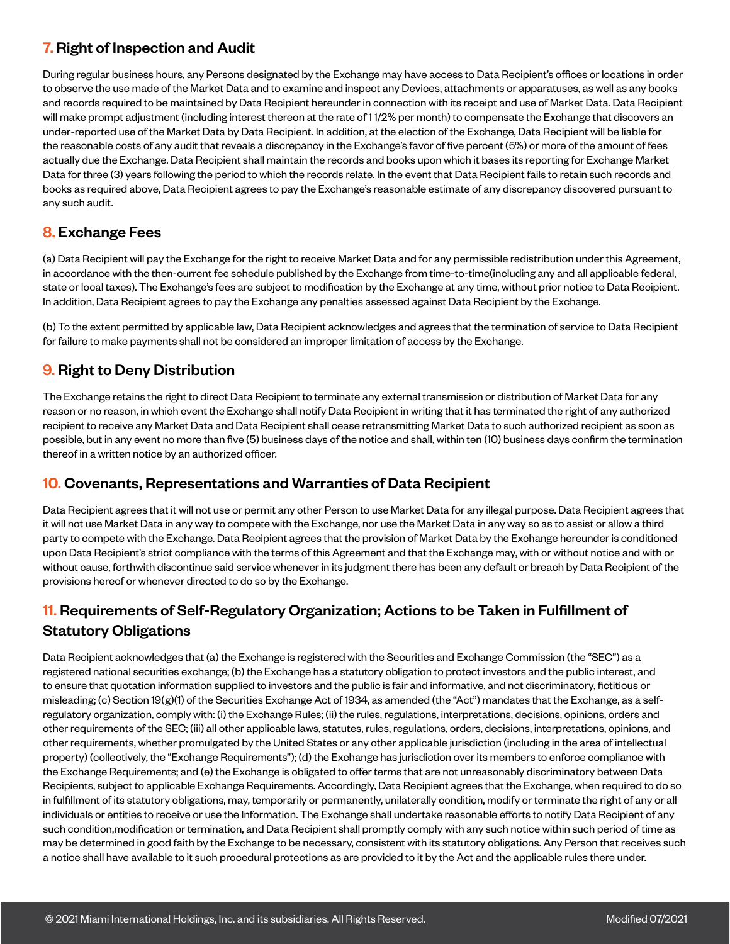# 7. Right of Inspection and Audit

During regular business hours, any Persons designated by the Exchange may have access to Data Recipient's offices or locations in order to observe the use made of the Market Data and to examine and inspect any Devices, attachments or apparatuses, as well as any books and records required to be maintained by Data Recipient hereunder in connection with its receipt and use of Market Data. Data Recipient will make prompt adjustment (including interest thereon at the rate of 1 1/2% per month) to compensate the Exchange that discovers an under-reported use of the Market Data by Data Recipient. In addition, at the election of the Exchange, Data Recipient will be liable for the reasonable costs of any audit that reveals a discrepancy in the Exchange's favor of five percent (5%) or more of the amount of fees actually due the Exchange. Data Recipient shall maintain the records and books upon which it bases its reporting for Exchange Market Data for three (3) years following the period to which the records relate. In the event that Data Recipient fails to retain such records and books as required above, Data Recipient agrees to pay the Exchange's reasonable estimate of any discrepancy discovered pursuant to any such audit.

# 8. Exchange Fees

(a) Data Recipient will pay the Exchange for the right to receive Market Data and for any permissible redistribution under this Agreement, in accordance with the then-current fee schedule published by the Exchange from time-to-time(including any and all applicable federal, state or local taxes). The Exchange's fees are subject to modification by the Exchange at any time, without prior notice to Data Recipient. In addition, Data Recipient agrees to pay the Exchange any penalties assessed against Data Recipient by the Exchange.

(b) To the extent permitted by applicable law, Data Recipient acknowledges and agrees that the termination of service to Data Recipient for failure to make payments shall not be considered an improper limitation of access by the Exchange.

# 9. Right to Deny Distribution

The Exchange retains the right to direct Data Recipient to terminate any external transmission or distribution of Market Data for any reason or no reason, in which event the Exchange shall notify Data Recipient in writing that it has terminated the right of any authorized recipient to receive any Market Data and Data Recipient shall cease retransmitting Market Data to such authorized recipient as soon as possible, but in any event no more than five (5) business days of the notice and shall, within ten (10) business days confirm the termination thereof in a written notice by an authorized officer.

#### 10. Covenants, Representations and Warranties of Data Recipient

Data Recipient agrees that it will not use or permit any other Person to use Market Data for any illegal purpose. Data Recipient agrees that it will not use Market Data in any way to compete with the Exchange, nor use the Market Data in any way so as to assist or allow a third party to compete with the Exchange. Data Recipient agrees that the provision of Market Data by the Exchange hereunder is conditioned upon Data Recipient's strict compliance with the terms of this Agreement and that the Exchange may, with or without notice and with or without cause, forthwith discontinue said service whenever in its judgment there has been any default or breach by Data Recipient of the provisions hereof or whenever directed to do so by the Exchange.

# 11. Requirements of Self-Regulatory Organization; Actions to be Taken in Fulfillment of Statutory Obligations

Data Recipient acknowledges that (a) the Exchange is registered with the Securities and Exchange Commission (the "SEC") as a registered national securities exchange; (b) the Exchange has a statutory obligation to protect investors and the public interest, and to ensure that quotation information supplied to investors and the public is fair and informative, and not discriminatory, fictitious or misleading; (c) Section 19(g)(1) of the Securities Exchange Act of 1934, as amended (the "Act") mandates that the Exchange, as a selfregulatory organization, comply with: (i) the Exchange Rules; (ii) the rules, regulations, interpretations, decisions, opinions, orders and other requirements of the SEC; (iii) all other applicable laws, statutes, rules, regulations, orders, decisions, interpretations, opinions, and other requirements, whether promulgated by the United States or any other applicable jurisdiction (including in the area of intellectual property) (collectively, the "Exchange Requirements"); (d) the Exchange has jurisdiction over its members to enforce compliance with the Exchange Requirements; and (e) the Exchange is obligated to offer terms that are not unreasonably discriminatory between Data Recipients, subject to applicable Exchange Requirements. Accordingly, Data Recipient agrees that the Exchange, when required to do so in fulfillment of its statutory obligations, may, temporarily or permanently, unilaterally condition, modify or terminate the right of any or all individuals or entities to receive or use the Information. The Exchange shall undertake reasonable efforts to notify Data Recipient of any such condition,modification or termination, and Data Recipient shall promptly comply with any such notice within such period of time as may be determined in good faith by the Exchange to be necessary, consistent with its statutory obligations. Any Person that receives such a notice shall have available to it such procedural protections as are provided to it by the Act and the applicable rules there under.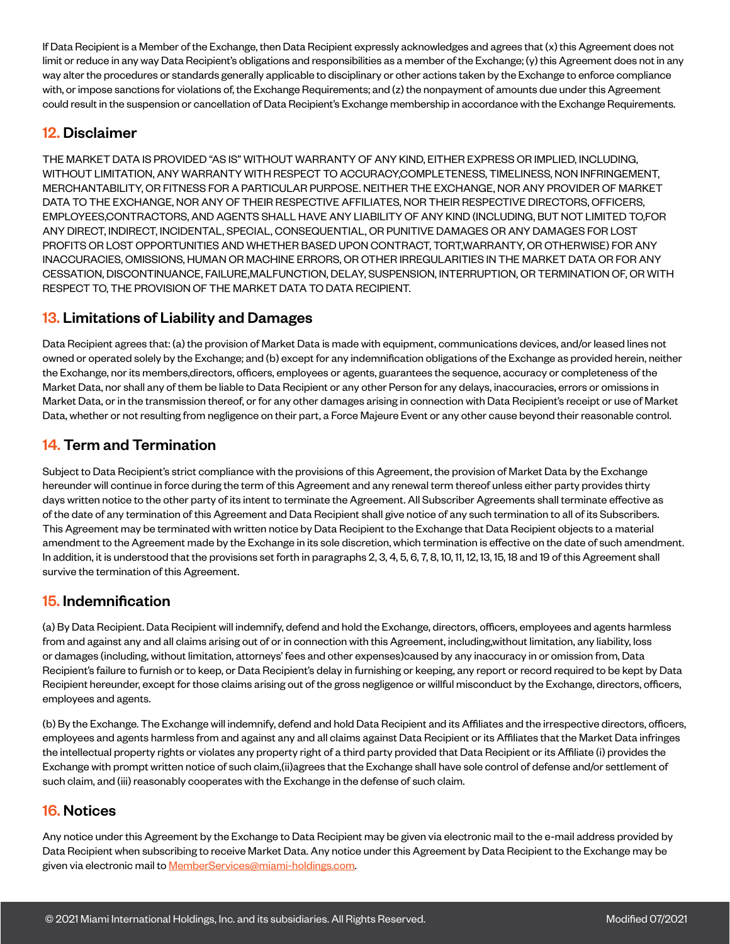If Data Recipient is a Member of the Exchange, then Data Recipient expressly acknowledges and agrees that (x) this Agreement does not limit or reduce in any way Data Recipient's obligations and responsibilities as a member of the Exchange; (y) this Agreement does not in any way alter the procedures or standards generally applicable to disciplinary or other actions taken by the Exchange to enforce compliance with, or impose sanctions for violations of, the Exchange Requirements; and (z) the nonpayment of amounts due under this Agreement could result in the suspension or cancellation of Data Recipient's Exchange membership in accordance with the Exchange Requirements.

#### 12. Disclaimer

THE MARKET DATA IS PROVIDED "AS IS" WITHOUT WARRANTY OF ANY KIND, EITHER EXPRESS OR IMPLIED, INCLUDING, WITHOUT LIMITATION, ANY WARRANTY WITH RESPECT TO ACCURACY,COMPLETENESS, TIMELINESS, NON INFRINGEMENT, MERCHANTABILITY, OR FITNESS FOR A PARTICULAR PURPOSE. NEITHER THE EXCHANGE, NOR ANY PROVIDER OF MARKET DATA TO THE EXCHANGE, NOR ANY OF THEIR RESPECTIVE AFFILIATES, NOR THEIR RESPECTIVE DIRECTORS, OFFICERS, EMPLOYEES,CONTRACTORS, AND AGENTS SHALL HAVE ANY LIABILITY OF ANY KIND (INCLUDING, BUT NOT LIMITED TO,FOR ANY DIRECT, INDIRECT, INCIDENTAL, SPECIAL, CONSEQUENTIAL, OR PUNITIVE DAMAGES OR ANY DAMAGES FOR LOST PROFITS OR LOST OPPORTUNITIES AND WHETHER BASED UPON CONTRACT, TORT,WARRANTY, OR OTHERWISE) FOR ANY INACCURACIES, OMISSIONS, HUMAN OR MACHINE ERRORS, OR OTHER IRREGULARITIES IN THE MARKET DATA OR FOR ANY CESSATION, DISCONTINUANCE, FAILURE,MALFUNCTION, DELAY, SUSPENSION, INTERRUPTION, OR TERMINATION OF, OR WITH RESPECT TO, THE PROVISION OF THE MARKET DATA TO DATA RECIPIENT.

#### 13. Limitations of Liability and Damages

Data Recipient agrees that: (a) the provision of Market Data is made with equipment, communications devices, and/or leased lines not owned or operated solely by the Exchange; and (b) except for any indemnification obligations of the Exchange as provided herein, neither the Exchange, nor its members,directors, officers, employees or agents, guarantees the sequence, accuracy or completeness of the Market Data, nor shall any of them be liable to Data Recipient or any other Person for any delays, inaccuracies, errors or omissions in Market Data, or in the transmission thereof, or for any other damages arising in connection with Data Recipient's receipt or use of Market Data, whether or not resulting from negligence on their part, a Force Majeure Event or any other cause beyond their reasonable control.

# 14. Term and Termination

Subject to Data Recipient's strict compliance with the provisions of this Agreement, the provision of Market Data by the Exchange hereunder will continue in force during the term of this Agreement and any renewal term thereof unless either party provides thirty days written notice to the other party of its intent to terminate the Agreement. All Subscriber Agreements shall terminate effective as of the date of any termination of this Agreement and Data Recipient shall give notice of any such termination to all of its Subscribers. This Agreement may be terminated with written notice by Data Recipient to the Exchange that Data Recipient objects to a material amendment to the Agreement made by the Exchange in its sole discretion, which termination is effective on the date of such amendment. In addition, it is understood that the provisions set forth in paragraphs 2, 3, 4, 5, 6, 7, 8, 10, 11, 12, 13, 15, 18 and 19 of this Agreement shall survive the termination of this Agreement.

#### 15. Indemnification

(a) By Data Recipient. Data Recipient will indemnify, defend and hold the Exchange, directors, officers, employees and agents harmless from and against any and all claims arising out of or in connection with this Agreement, including,without limitation, any liability, loss or damages (including, without limitation, attorneys' fees and other expenses)caused by any inaccuracy in or omission from, Data Recipient's failure to furnish or to keep, or Data Recipient's delay in furnishing or keeping, any report or record required to be kept by Data Recipient hereunder, except for those claims arising out of the gross negligence or willful misconduct by the Exchange, directors, officers, employees and agents.

(b) By the Exchange. The Exchange will indemnify, defend and hold Data Recipient and its Affiliates and the irrespective directors, officers, employees and agents harmless from and against any and all claims against Data Recipient or its Affiliates that the Market Data infringes the intellectual property rights or violates any property right of a third party provided that Data Recipient or its Affiliate (i) provides the Exchange with prompt written notice of such claim,(ii)agrees that the Exchange shall have sole control of defense and/or settlement of such claim, and (iii) reasonably cooperates with the Exchange in the defense of such claim.

#### 16. Notices

Any notice under this Agreement by the Exchange to Data Recipient may be given via electronic mail to the e-mail address provided by Data Recipient when subscribing to receive Market Data. Any notice under this Agreement by Data Recipient to the Exchange may be given via electronic mail to **MemberServices@miami-holdings.com**.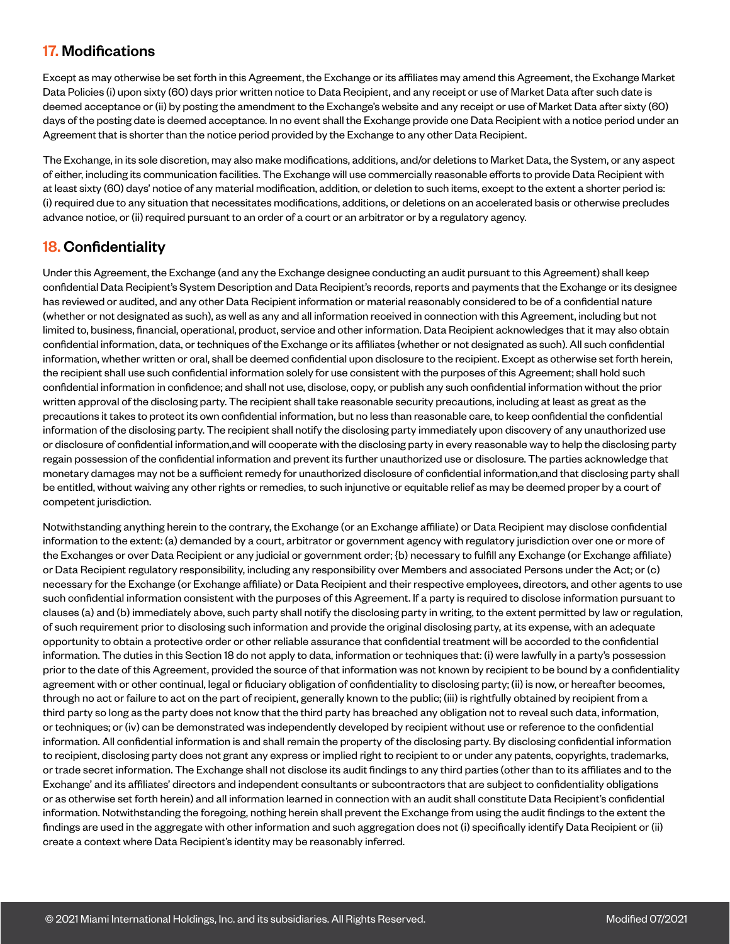# 17. Modifications

Except as may otherwise be set forth in this Agreement, the Exchange or its affiliates may amend this Agreement, the Exchange Market Data Policies (i) upon sixty (60) days prior written notice to Data Recipient, and any receipt or use of Market Data after such date is deemed acceptance or (ii) by posting the amendment to the Exchange's website and any receipt or use of Market Data after sixty (60) days of the posting date is deemed acceptance. In no event shall the Exchange provide one Data Recipient with a notice period under an Agreement that is shorter than the notice period provided by the Exchange to any other Data Recipient.

The Exchange, in its sole discretion, may also make modifications, additions, and/or deletions to Market Data, the System, or any aspect of either, including its communication facilities. The Exchange will use commercially reasonable efforts to provide Data Recipient with at least sixty (60) days' notice of any material modification, addition, or deletion to such items, except to the extent a shorter period is: (i) required due to any situation that necessitates modifications, additions, or deletions on an accelerated basis or otherwise precludes advance notice, or (ii) required pursuant to an order of a court or an arbitrator or by a regulatory agency.

# 18. Confidentiality

Under this Agreement, the Exchange (and any the Exchange designee conducting an audit pursuant to this Agreement) shall keep confidential Data Recipient's System Description and Data Recipient's records, reports and payments that the Exchange or its designee has reviewed or audited, and any other Data Recipient information or material reasonably considered to be of a confidential nature (whether or not designated as such), as well as any and all information received in connection with this Agreement, including but not limited to, business, financial, operational, product, service and other information. Data Recipient acknowledges that it may also obtain confidential information, data, or techniques of the Exchange or its affiliates {whether or not designated as such). All such confidential information, whether written or oral, shall be deemed confidential upon disclosure to the recipient. Except as otherwise set forth herein, the recipient shall use such confidential information solely for use consistent with the purposes of this Agreement; shall hold such confidential information in confidence; and shall not use, disclose, copy, or publish any such confidential information without the prior written approval of the disclosing party. The recipient shall take reasonable security precautions, including at least as great as the precautions it takes to protect its own confidential information, but no less than reasonable care, to keep confidential the confidential information of the disclosing party. The recipient shall notify the disclosing party immediately upon discovery of any unauthorized use or disclosure of confidential information,and will cooperate with the disclosing party in every reasonable way to help the disclosing party regain possession of the confidential information and prevent its further unauthorized use or disclosure. The parties acknowledge that monetary damages may not be a sufficient remedy for unauthorized disclosure of confidential information,and that disclosing party shall be entitled, without waiving any other rights or remedies, to such injunctive or equitable relief as may be deemed proper by a court of competent jurisdiction.

Notwithstanding anything herein to the contrary, the Exchange (or an Exchange affiliate) or Data Recipient may disclose confidential information to the extent: (a) demanded by a court, arbitrator or government agency with regulatory jurisdiction over one or more of the Exchanges or over Data Recipient or any judicial or government order; {b) necessary to fulfill any Exchange (or Exchange affiliate) or Data Recipient regulatory responsibility, including any responsibility over Members and associated Persons under the Act; or (c) necessary for the Exchange (or Exchange affiliate) or Data Recipient and their respective employees, directors, and other agents to use such confidential information consistent with the purposes of this Agreement. If a party is required to disclose information pursuant to clauses (a) and (b) immediately above, such party shall notify the disclosing party in writing, to the extent permitted by law or regulation, of such requirement prior to disclosing such information and provide the original disclosing party, at its expense, with an adequate opportunity to obtain a protective order or other reliable assurance that confidential treatment will be accorded to the confidential information. The duties in this Section 18 do not apply to data, information or techniques that: (i) were lawfully in a party's possession prior to the date of this Agreement, provided the source of that information was not known by recipient to be bound by a confidentiality agreement with or other continual, legal or fiduciary obligation of confidentiality to disclosing party; (ii) is now, or hereafter becomes, through no act or failure to act on the part of recipient, generally known to the public; (iii) is rightfully obtained by recipient from a third party so long as the party does not know that the third party has breached any obligation not to reveal such data, information, or techniques; or (iv) can be demonstrated was independently developed by recipient without use or reference to the confidential information. All confidential information is and shall remain the property of the disclosing party. By disclosing confidential information to recipient, disclosing party does not grant any express or implied right to recipient to or under any patents, copyrights, trademarks, or trade secret information. The Exchange shall not disclose its audit findings to any third parties (other than to its affiliates and to the Exchange' and its affiliates' directors and independent consultants or subcontractors that are subject to confidentiality obligations or as otherwise set forth herein) and all information learned in connection with an audit shall constitute Data Recipient's confidential information. Notwithstanding the foregoing, nothing herein shall prevent the Exchange from using the audit findings to the extent the findings are used in the aggregate with other information and such aggregation does not (i) specifically identify Data Recipient or (ii) create a context where Data Recipient's identity may be reasonably inferred.